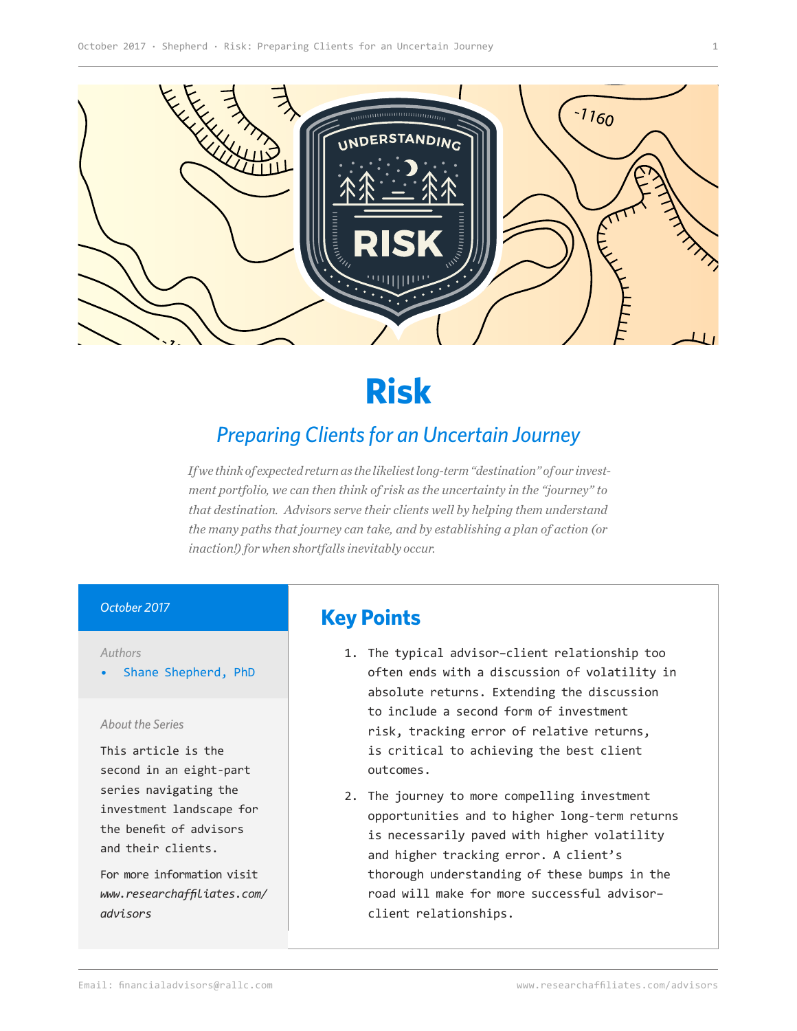

# **Risk**

# *Preparing Clients for an Uncertain Journey*

*If we think of expected return as the likeliest long-term "destination" of our investment portfolio, we can then think of risk as the uncertainty in the "journey" to that destination. Advisors serve their clients well by helping them understand the many paths that journey can take, and by establishing a plan of action (or inaction!) for when shortfalls inevitably occur.* 

#### *October 2017*

#### *Authors*

• Shane Shepherd, PhD

#### *About the Series*

This article is the second in an eight-part series navigating the investment landscape for the benefit of advisors and their clients.

For more information visit *[www.researchaffiliates.com/](http://www.researchaffiliates.com/en_us/advisors.html
) [advisors](http://www.researchaffiliates.com/en_us/advisors.html
)*

## **Key Points**

- 1. The typical advisor–client relationship too often ends with a discussion of volatility in absolute returns. Extending the discussion to include a second form of investment risk, tracking error of relative returns, is critical to achieving the best client outcomes.
- 2. The journey to more compelling investment opportunities and to higher long-term returns is necessarily paved with higher volatility and higher tracking error. A client's thorough understanding of these bumps in the road will make for more successful advisor– client relationships.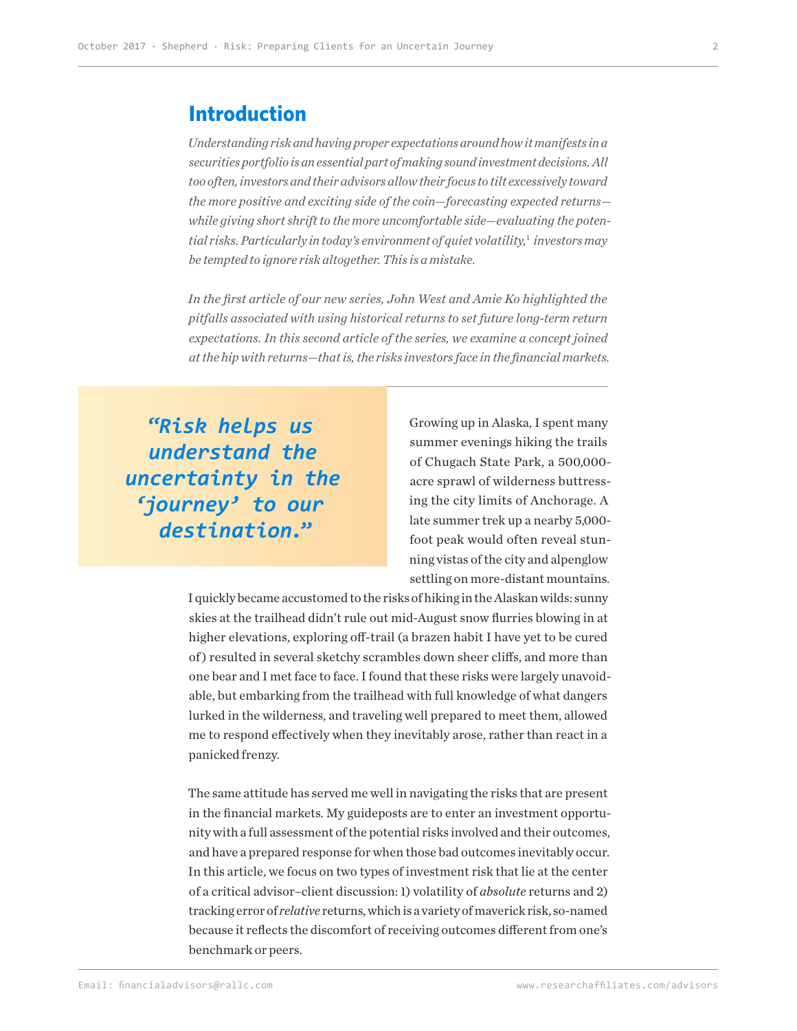#### **Introduction**

*Understanding risk and having proper expectations around how it manifests in a securities portfolio is an essential part of making sound investment decisions. All too often, investors and their advisors allow their focus to tilt excessively toward the more positive and exciting side of the coin—forecasting expected returns while giving short shrift to the more uncomfortable side—evaluating the potential risks. Particularly in today's environment of quiet volatility,*<sup>1</sup> *investors may be tempted to ignore risk altogether. This is a mistake.*

*In the first article of our new series, John West and Amie Ko highlighted the pitfalls associated with using historical returns to set future long-term return expectations. In this second article of the series, we examine a concept joined at the hip with returns—that is, the risks investors face in the financial markets.* 

**"***Risk helps us understand the uncertainty in the 'journey' to our destination.***"**

Growing up in Alaska, I spent many summer evenings hiking the trails of Chugach State Park, a 500,000 acre sprawl of wilderness buttressing the city limits of Anchorage. A late summer trek up a nearby 5,000 foot peak would often reveal stunning vistas of the city and alpenglow settling on more-distant mountains.

I quickly became accustomed to the risks of hiking in the Alaskan wilds: sunny skies at the trailhead didn't rule out mid-August snow flurries blowing in at higher elevations, exploring off-trail (a brazen habit I have yet to be cured of ) resulted in several sketchy scrambles down sheer cliffs, and more than one bear and I met face to face. I found that these risks were largely unavoidable, but embarking from the trailhead with full knowledge of what dangers lurked in the wilderness, and traveling well prepared to meet them, allowed me to respond effectively when they inevitably arose, rather than react in a panicked frenzy.

The same attitude has served me well in navigating the risks that are present in the financial markets. My guideposts are to enter an investment opportunity with a full assessment of the potential risks involved and their outcomes, and have a prepared response for when those bad outcomes inevitably occur. In this article, we focus on two types of investment risk that lie at the center of a critical advisor–client discussion: 1) volatility of *absolute* returns and 2) tracking error of *relative* returns, which is a variety of maverick risk, so-named because it reflects the discomfort of receiving outcomes different from one's benchmark or peers.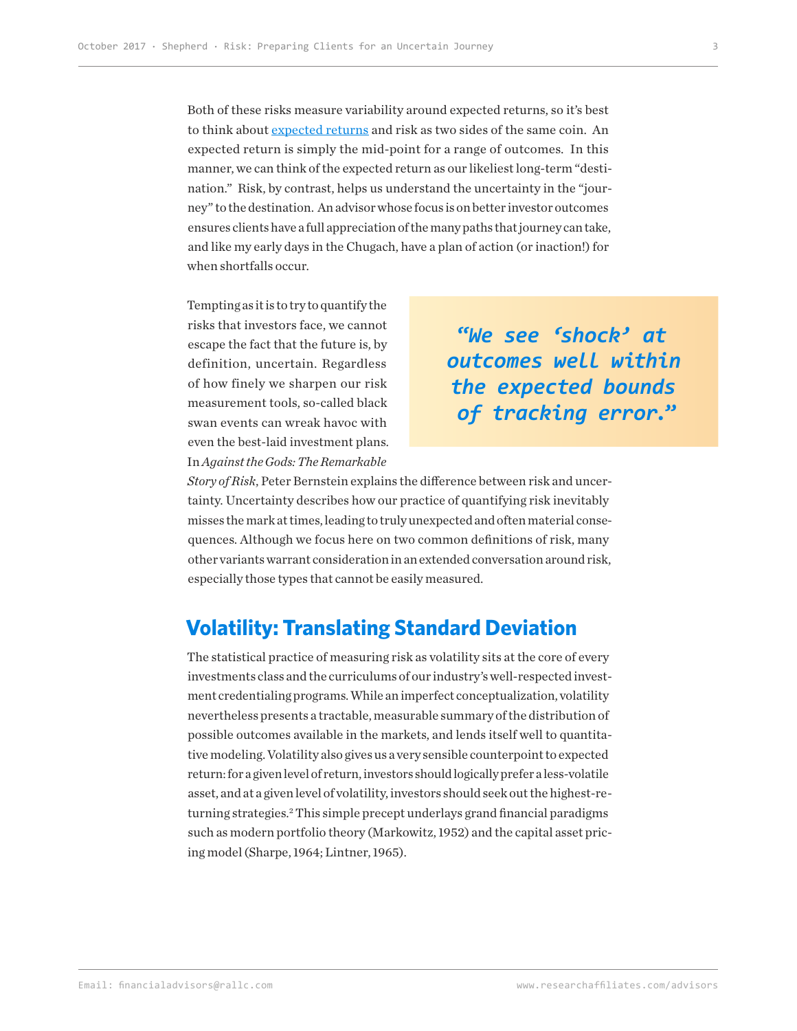Both of these risks measure variability around expected returns, so it's best to think about [expected returns](https://www.researchaffiliates.com/en_us/publications/articles/634-ignoring-starting-yields-nabbing-this-usual-suspect-in-poor-investment-outcomes.html) and risk as two sides of the same coin. An expected return is simply the mid-point for a range of outcomes. In this manner, we can think of the expected return as our likeliest long-term "destination." Risk, by contrast, helps us understand the uncertainty in the "journey" to the destination. An advisor whose focus is on better investor outcomes ensures clients have a full appreciation of the many paths that journey can take, and like my early days in the Chugach, have a plan of action (or inaction!) for when shortfalls occur.

Tempting as it is to try to quantify the risks that investors face, we cannot escape the fact that the future is, by definition, uncertain. Regardless of how finely we sharpen our risk measurement tools, so-called black swan events can wreak havoc with even the best-laid investment plans. In *Against the Gods: The Remarkable* 

# **"***We see 'shock' at outcomes well within the expected bounds of tracking error.***"**

*Story of Risk*, Peter Bernstein explains the difference between risk and uncertainty. Uncertainty describes how our practice of quantifying risk inevitably misses the mark at times, leading to truly unexpected and often material consequences. Although we focus here on two common definitions of risk, many other variants warrant consideration in an extended conversation around risk, especially those types that cannot be easily measured.

### **Volatility: Translating Standard Deviation**

The statistical practice of measuring risk as volatility sits at the core of every investments class and the curriculums of our industry's well-respected investment credentialing programs. While an imperfect conceptualization, volatility nevertheless presents a tractable, measurable summary of the distribution of possible outcomes available in the markets, and lends itself well to quantitative modeling. Volatility also gives us a very sensible counterpoint to expected return: for a given level of return, investors should logically prefer a less-volatile asset, and at a given level of volatility, investors should seek out the highest-returning strategies.<sup>2</sup> This simple precept underlays grand financial paradigms such as modern portfolio theory (Markowitz, 1952) and the capital asset pricing model (Sharpe, 1964; Lintner, 1965).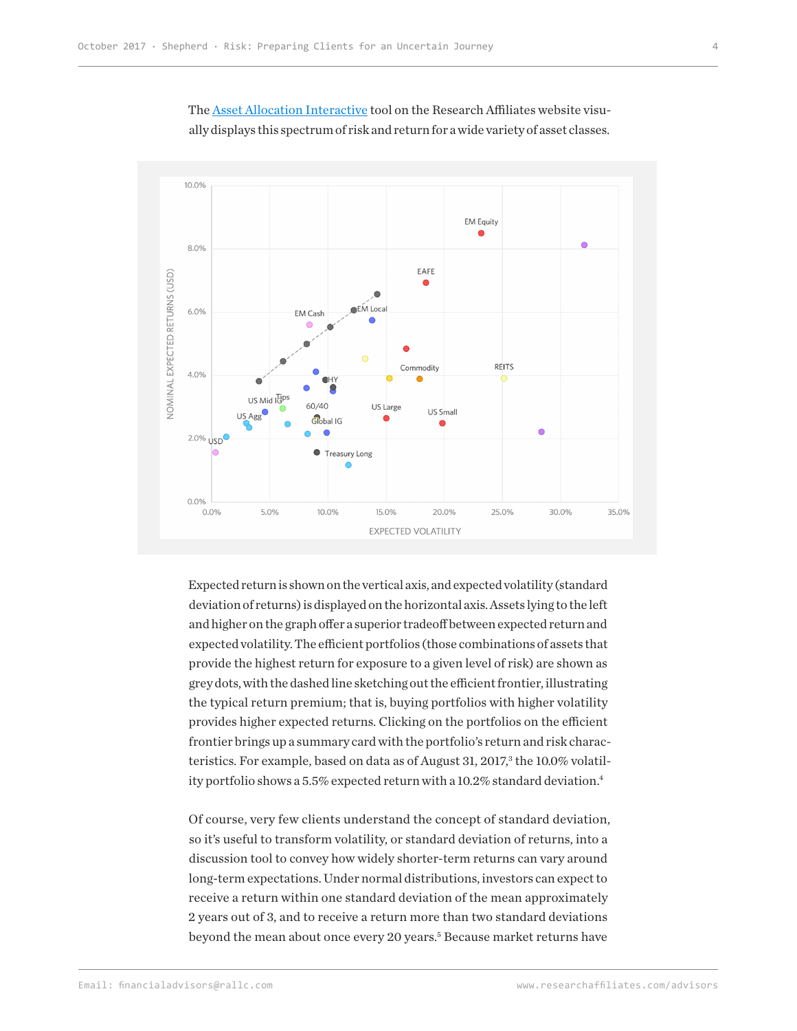

The [Asset Allocation Interactive](https://www.researchaffiliates.com/en_us/asset-allocation-interactive.html#!/?currency=USD&model=ER&scale=LINEAR&terms=NOMINAL) tool on the Research Affiliates website visually displays this spectrum of risk and return for a wide variety of asset classes.

Expected return is shown on the vertical axis, and expected volatility (standard deviation of returns) is displayed on the horizontal axis. Assets lying to the left and higher on the graph offer a superior tradeoff between expected return and expected volatility. The efficient portfolios (those combinations of assets that provide the highest return for exposure to a given level of risk) are shown as grey dots, with the dashed line sketching out the efficient frontier, illustrating the typical return premium; that is, buying portfolios with higher volatility provides higher expected returns. Clicking on the portfolios on the efficient frontier brings up a summary card with the portfolio's return and risk characteristics. For example, based on data as of August 31, 2017,<sup>3</sup> the 10.0% volatility portfolio shows a 5.5% expected return with a 10.2% standard deviation.<sup>4</sup>

Of course, very few clients understand the concept of standard deviation, so it's useful to transform volatility, or standard deviation of returns, into a discussion tool to convey how widely shorter-term returns can vary around long-term expectations. Under normal distributions, investors can expect to receive a return within one standard deviation of the mean approximately 2 years out of 3, and to receive a return more than two standard deviations beyond the mean about once every 20 years.<sup>5</sup> Because market returns have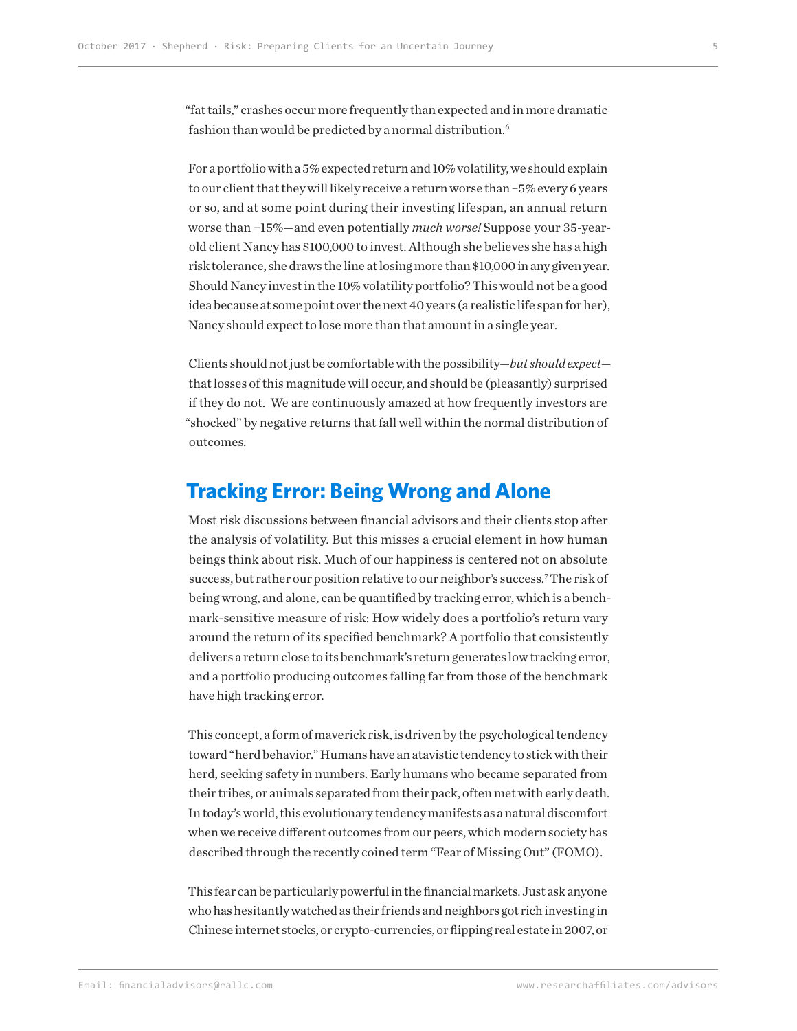"fat tails," crashes occur more frequently than expected and in more dramatic fashion than would be predicted by a normal distribution.<sup>6</sup>

For a portfolio with a 5% expected return and 10% volatility, we should explain to our client that they will likely receive a return worse than −5% every 6 years or so, and at some point during their investing lifespan, an annual return worse than −15%—and even potentially *much worse!* Suppose your 35-yearold client Nancy has \$100,000 to invest. Although she believes she has a high risk tolerance, she draws the line at losing more than \$10,000 in any given year. Should Nancy invest in the 10% volatility portfolio? This would not be a good idea because at some point over the next 40 years (a realistic life span for her), Nancy should expect to lose more than that amount in a single year.

Clients should not just be comfortable with the possibility—*but should expect* that losses of this magnitude will occur, and should be (pleasantly) surprised if they do not. We are continuously amazed at how frequently investors are "shocked" by negative returns that fall well within the normal distribution of outcomes.

#### **Tracking Error: Being Wrong and Alone**

Most risk discussions between financial advisors and their clients stop after the analysis of volatility. But this misses a crucial element in how human beings think about risk. Much of our happiness is centered not on absolute success, but rather our position relative to our neighbor's success.7 The risk of being wrong, and alone, can be quantified by tracking error, which is a benchmark-sensitive measure of risk: How widely does a portfolio's return vary around the return of its specified benchmark? A portfolio that consistently delivers a return close to its benchmark's return generates low tracking error, and a portfolio producing outcomes falling far from those of the benchmark have high tracking error.

This concept, a form of maverick risk, is driven by the psychological tendency toward "herd behavior." Humans have an atavistic tendency to stick with their herd, seeking safety in numbers. Early humans who became separated from their tribes, or animals separated from their pack, often met with early death. In today's world, this evolutionary tendency manifests as a natural discomfort when we receive different outcomes from our peers, which modern society has described through the recently coined term "Fear of Missing Out" (FOMO).

This fear can be particularly powerful in the financial markets. Just ask anyone who has hesitantly watched as their friends and neighbors got rich investing in Chinese internet stocks, or crypto-currencies, or flipping real estate in 2007, or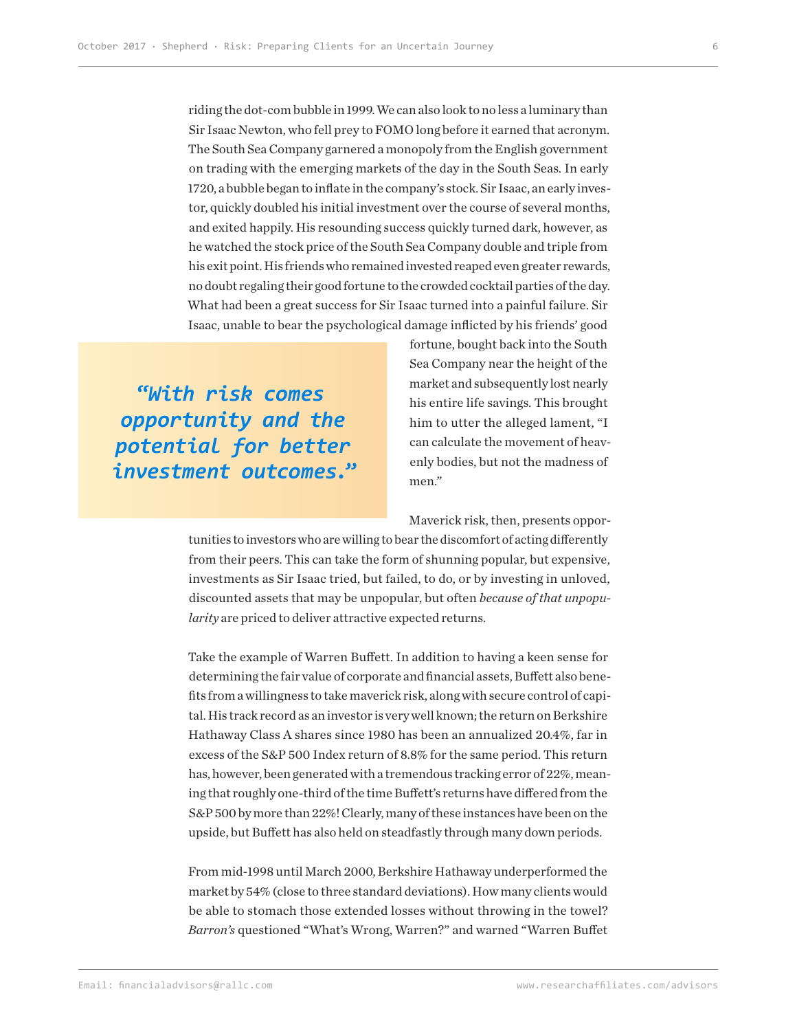riding the dot-com bubble in 1999. We can also look to no less a luminary than Sir Isaac Newton, who fell prey to FOMO long before it earned that acronym. The South Sea Company garnered a monopoly from the English government on trading with the emerging markets of the day in the South Seas. In early 1720, a bubble began to inflate in the company's stock. Sir Isaac, an early investor, quickly doubled his initial investment over the course of several months, and exited happily. His resounding success quickly turned dark, however, as he watched the stock price of the South Sea Company double and triple from his exit point. His friends who remained invested reaped even greater rewards, no doubt regaling their good fortune to the crowded cocktail parties of the day. What had been a great success for Sir Isaac turned into a painful failure. Sir Isaac, unable to bear the psychological damage inflicted by his friends' good

**"***With risk comes opportunity and the potential for better investment outcomes.***"** fortune, bought back into the South Sea Company near the height of the market and subsequently lost nearly his entire life savings. This brought him to utter the alleged lament, "I can calculate the movement of heavenly bodies, but not the madness of men."

Maverick risk, then, presents oppor-

tunities to investors who are willing to bear the discomfort of acting differently from their peers. This can take the form of shunning popular, but expensive, investments as Sir Isaac tried, but failed, to do, or by investing in unloved, discounted assets that may be unpopular, but often *because of that unpopularity* are priced to deliver attractive expected returns.

Take the example of Warren Buffett. In addition to having a keen sense for determining the fair value of corporate and financial assets, Buffett also benefits from a willingness to take maverick risk, along with secure control of capital. His track record as an investor is very well known; the return on Berkshire Hathaway Class A shares since 1980 has been an annualized 20.4%, far in excess of the S&P 500 Index return of 8.8% for the same period. This return has, however, been generated with a tremendous tracking error of 22%, meaning that roughly one-third of the time Buffett's returns have differed from the S&P 500 by more than 22%! Clearly, many of these instances have been on the upside, but Buffett has also held on steadfastly through many down periods.

From mid-1998 until March 2000, Berkshire Hathaway underperformed the market by 54% (close to three standard deviations). How many clients would be able to stomach those extended losses without throwing in the towel? *Barron's* questioned "What's Wrong, Warren?" and warned "Warren Buffet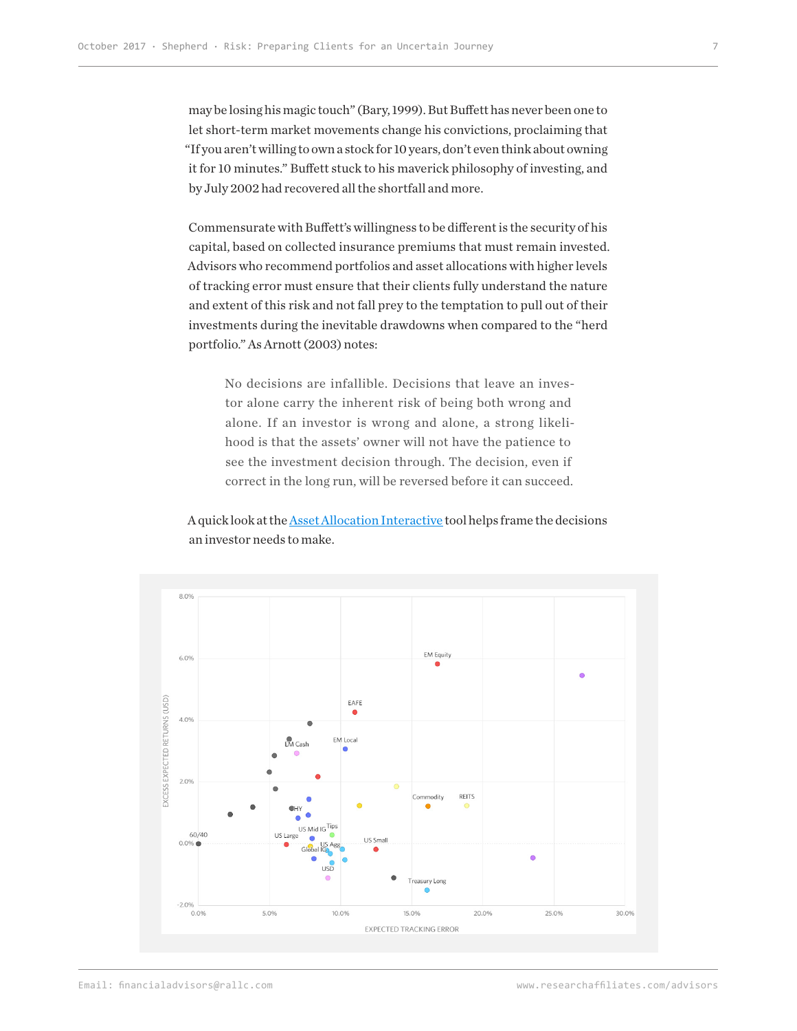may be losing his magic touch" (Bary, 1999). But Buffett has never been one to let short-term market movements change his convictions, proclaiming that "If you aren't willing to own a stock for 10 years, don't even think about owning it for 10 minutes." Buffett stuck to his maverick philosophy of investing, and by July 2002 had recovered all the shortfall and more.

Commensurate with Buffett's willingness to be different is the security of his capital, based on collected insurance premiums that must remain invested. Advisors who recommend portfolios and asset allocations with higher levels of tracking error must ensure that their clients fully understand the nature and extent of this risk and not fall prey to the temptation to pull out of their investments during the inevitable drawdowns when compared to the "herd portfolio." As Arnott (2003) notes:

No decisions are infallible. Decisions that leave an investor alone carry the inherent risk of being both wrong and alone. If an investor is wrong and alone, a strong likelihood is that the assets' owner will not have the patience to see the investment decision through. The decision, even if correct in the long run, will be reversed before it can succeed.

A quick look at the [Asset Allocation Interactive](https://interactive.researchaffiliates.com/asset-allocation.html#!/?benchmark=172¤cy=USD&model=ER&scale=LINEAR&terms=NOMINAL) tool helps frame the decisions an investor needs to make.

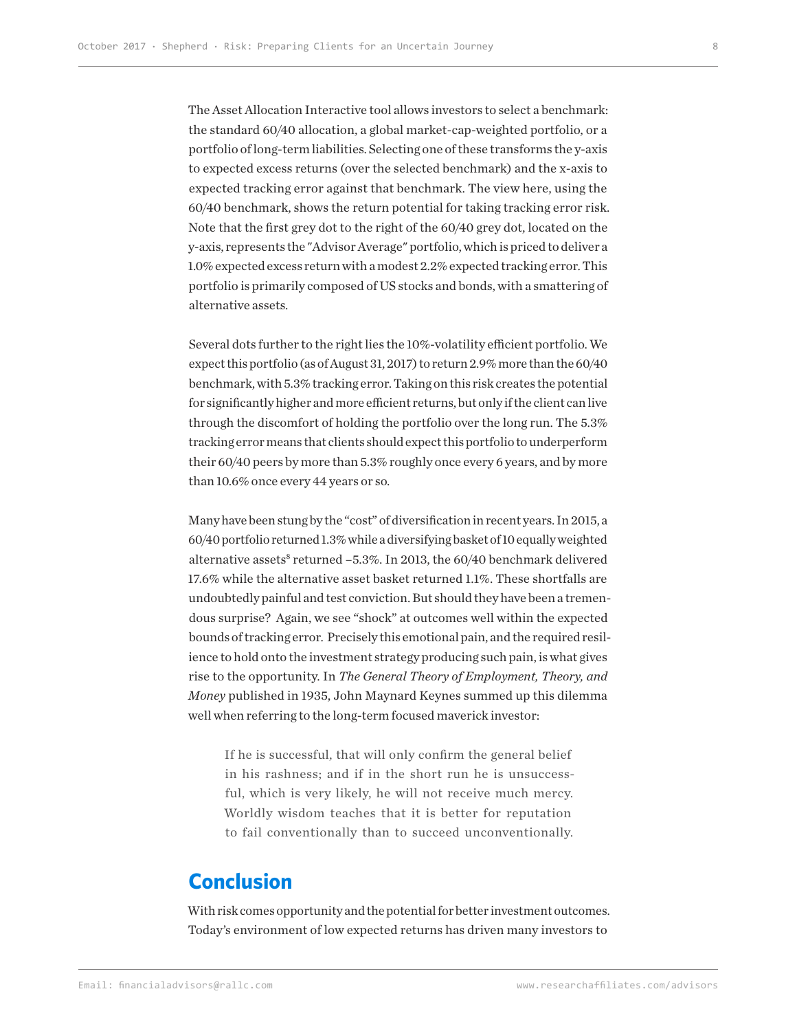The Asset Allocation Interactive tool allows investors to select a benchmark: the standard 60/40 allocation, a global market-cap-weighted portfolio, or a portfolio of long-term liabilities. Selecting one of these transforms the y-axis to expected excess returns (over the selected benchmark) and the x-axis to expected tracking error against that benchmark. The view here, using the 60/40 benchmark, shows the return potential for taking tracking error risk. Note that the first grey dot to the right of the 60/40 grey dot, located on the y-axis, represents the "Advisor Average" portfolio, which is priced to deliver a 1.0% expected excess return with a modest 2.2% expected tracking error. This portfolio is primarily composed of US stocks and bonds, with a smattering of alternative assets.

Several dots further to the right lies the 10%-volatility efficient portfolio. We expect this portfolio (as of August 31, 2017) to return 2.9% more than the 60/40 benchmark, with 5.3% tracking error. Taking on this risk creates the potential for significantly higher and more efficient returns, but only if the client can live through the discomfort of holding the portfolio over the long run. The 5.3% tracking error means that clients should expect this portfolio to underperform their 60/40 peers by more than 5.3% roughly once every 6 years, and by more than 10.6% once every 44 years or so.

Many have been stung by the "cost" of diversification in recent years. In 2015, a 60/40 portfolio returned 1.3% while a diversifying basket of 10 equally weighted alternative assets<sup>8</sup> returned -5.3%. In 2013, the 60/40 benchmark delivered 17.6% while the alternative asset basket returned 1.1%. These shortfalls are undoubtedly painful and test conviction. But should they have been a tremendous surprise? Again, we see "shock" at outcomes well within the expected bounds of tracking error. Precisely this emotional pain, and the required resilience to hold onto the investment strategy producing such pain, is what gives rise to the opportunity. In *The General Theory of Employment, Theory, and Money* published in 1935, John Maynard Keynes summed up this dilemma well when referring to the long-term focused maverick investor:

If he is successful, that will only confirm the general belief in his rashness; and if in the short run he is unsuccessful, which is very likely, he will not receive much mercy. Worldly wisdom teaches that it is better for reputation to fail conventionally than to succeed unconventionally.

### **Conclusion**

With risk comes opportunity and the potential for better investment outcomes. Today's environment of low expected returns has driven many investors to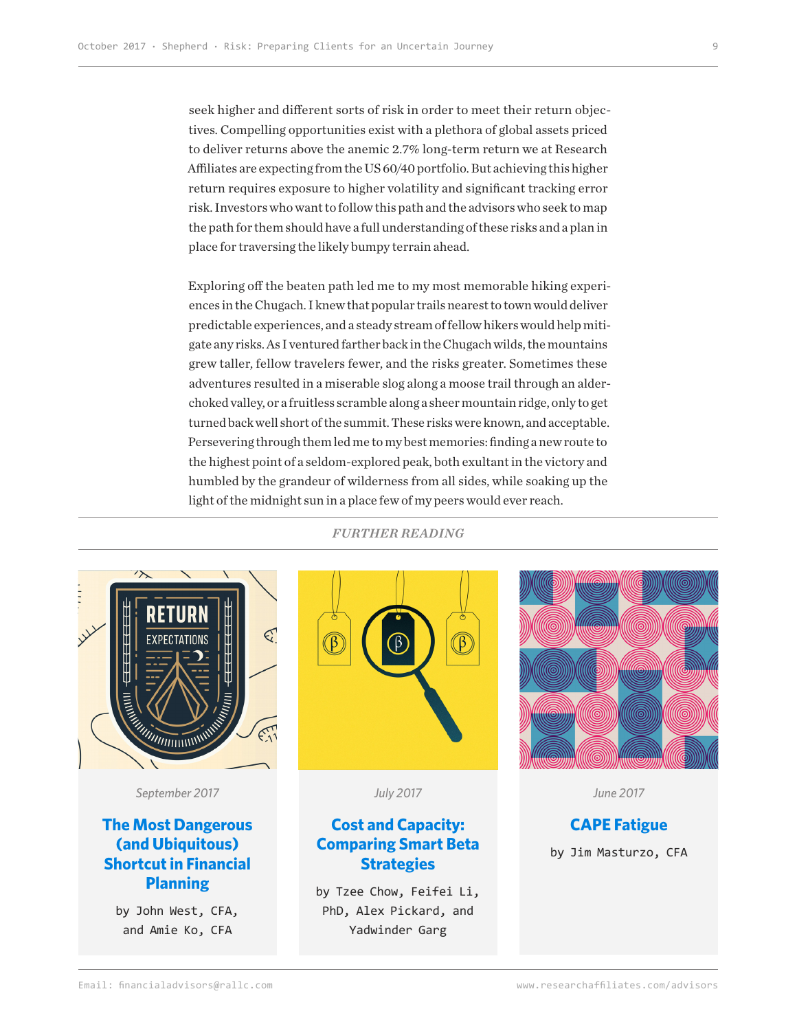seek higher and different sorts of risk in order to meet their return objectives. Compelling opportunities exist with a plethora of global assets priced to deliver returns above the anemic 2.7% long-term return we at Research Affiliates are expecting from the US 60/40 portfolio. But achieving this higher return requires exposure to higher volatility and significant tracking error risk. Investors who want to follow this path and the advisors who seek to map the path for them should have a full understanding of these risks and a plan in place for traversing the likely bumpy terrain ahead.

Exploring off the beaten path led me to my most memorable hiking experiences in the Chugach. I knew that popular trails nearest to town would deliver predictable experiences, and a steady stream of fellow hikers would help mitigate any risks. As I ventured farther back in the Chugach wilds, the mountains grew taller, fellow travelers fewer, and the risks greater. Sometimes these adventures resulted in a miserable slog along a moose trail through an alderchoked valley, or a fruitless scramble along a sheer mountain ridge, only to get turned back well short of the summit. These risks were known, and acceptable. Persevering through them led me to my best memories: finding a new route to the highest point of a seldom-explored peak, both exultant in the victory and humbled by the grandeur of wilderness from all sides, while soaking up the light of the midnight sun in a place few of my peers would ever reach.



*September 2017*

#### **The Most Dangerous (and Ubiquitous) Shortcut in Financial Planning**

by John West, CFA, and Amie Ko, CFA

*FURTHER READING*



*July 2017*

#### **Cost and Capacity: Comparing Smart Beta Strategies**

by Tzee Chow, Feifei Li, PhD, Alex Pickard, and Yadwinder Garg



*June 2017*

#### **CAPE Fatigue** by Jim Masturzo, CFA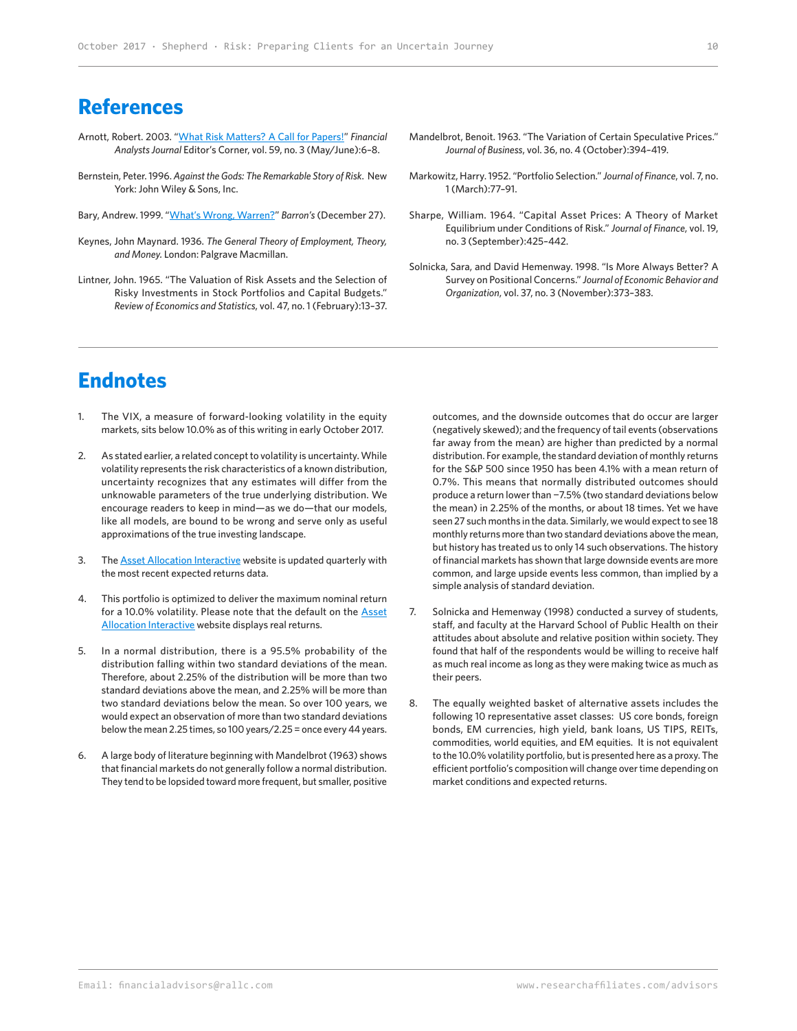### **References**

- Arnott, Robert. 2003. ["What Risk Matters? A Call for Papers!](https://www.researchaffiliates.com/content/dam/ra/documents/FAJ_Sep_Oct_2003_What_Risk_Matters_A_Call_for_Papers.pdf)" *Financial Analysts Journal* Editor's Corner, vol. 59, no. 3 (May/June):6–8.
- Bernstein, Peter. 1996. *Against the Gods: The Remarkable Story of Risk*. New York: John Wiley & Sons, Inc.
- Bary, Andrew. 1999. ["What's Wrong, Warren?](http://www.barrons.com/articles/SB945992010127068546)" *Barron's* (December 27).
- Keynes, John Maynard. 1936. *The General Theory of Employment, Theory, and Money.* London: Palgrave Macmillan.
- Lintner, John. 1965. "The Valuation of Risk Assets and the Selection of Risky Investments in Stock Portfolios and Capital Budgets." *Review of Economics and Statistics*, vol. 47, no. 1 (February):13–37.
- Mandelbrot, Benoit. 1963. "The Variation of Certain Speculative Prices." *Journal of Business*, vol. 36, no. 4 (October):394–419.
- Markowitz, Harry. 1952. "Portfolio Selection." *Journal of Finance*, vol. 7, no. 1 (March):77–91.
- Sharpe, William. 1964. "Capital Asset Prices: A Theory of Market Equilibrium under Conditions of Risk." *Journal of Finance*, vol. 19, no. 3 (September):425–442.
- Solnicka, Sara, and David Hemenway. 1998. "Is More Always Better? A Survey on Positional Concerns." *Journal of Economic Behavior and Organization*, vol. 37, no. 3 (November):373–383.

# **Endnotes**

- 1. The VIX, a measure of forward-looking volatility in the equity markets, sits below 10.0% as of this writing in early October 2017.
- 2. As stated earlier, a related concept to volatility is uncertainty. While volatility represents the risk characteristics of a known distribution, uncertainty recognizes that any estimates will differ from the unknowable parameters of the true underlying distribution. We encourage readers to keep in mind—as we do—that our models, like all models, are bound to be wrong and serve only as useful approximations of the true investing landscape.
- 3. The **Asset Allocation Interactive** website is updated quarterly with the most recent expected returns data.
- 4. This portfolio is optimized to deliver the maximum nominal return for a 10.0% volatility. Please note that the default on the **Asset** [Allocation Interactive]( https://interactive.researchaffiliates.com/asset-allocation) website displays real returns.
- 5. In a normal distribution, there is a 95.5% probability of the distribution falling within two standard deviations of the mean. Therefore, about 2.25% of the distribution will be more than two standard deviations above the mean, and 2.25% will be more than two standard deviations below the mean. So over 100 years, we would expect an observation of more than two standard deviations below the mean 2.25 times, so 100 years/2.25 = once every 44 years.
- 6. A large body of literature beginning with Mandelbrot (1963) shows that financial markets do not generally follow a normal distribution. They tend to be lopsided toward more frequent, but smaller, positive

outcomes, and the downside outcomes that do occur are larger (negatively skewed); and the frequency of tail events (observations far away from the mean) are higher than predicted by a normal distribution. For example, the standard deviation of monthly returns for the S&P 500 since 1950 has been 4.1% with a mean return of 0.7%. This means that normally distributed outcomes should produce a return lower than −7.5% (two standard deviations below the mean) in 2.25% of the months, or about 18 times. Yet we have seen 27 such months in the data. Similarly, we would expect to see 18 monthly returns more than two standard deviations above the mean, but history has treated us to only 14 such observations. The history of financial markets has shown that large downside events are more common, and large upside events less common, than implied by a simple analysis of standard deviation.

- 7. Solnicka and Hemenway (1998) conducted a survey of students, staff, and faculty at the Harvard School of Public Health on their attitudes about absolute and relative position within society. They found that half of the respondents would be willing to receive half as much real income as long as they were making twice as much as their peers.
- 8. The equally weighted basket of alternative assets includes the following 10 representative asset classes: US core bonds, foreign bonds, EM currencies, high yield, bank loans, US TIPS, REITs, commodities, world equities, and EM equities. It is not equivalent to the 10.0% volatility portfolio, but is presented here as a proxy. The efficient portfolio's composition will change over time depending on market conditions and expected returns.